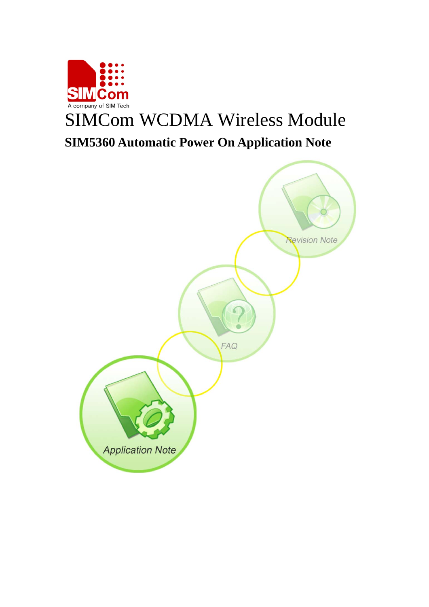

# SIMCom WCDMA Wireless Module **SIM5360 Automatic Power On Application Note**

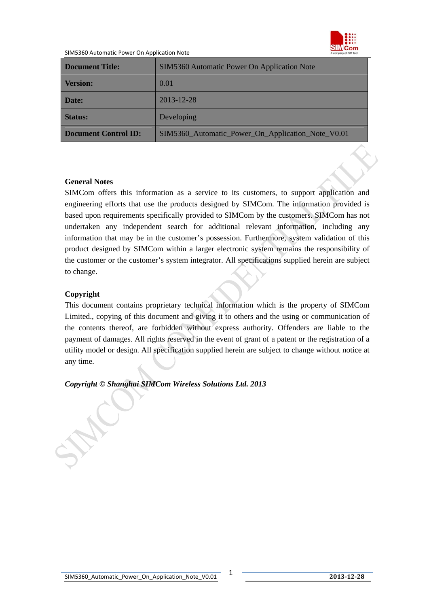

#### SIM5360 Automatic Power On Application Note

| <b>Document Title:</b>      | SIM5360 Automatic Power On Application Note       |  |
|-----------------------------|---------------------------------------------------|--|
| <b>Version:</b>             | 0.01                                              |  |
| Date:                       | $2013 - 12 - 28$                                  |  |
| <b>Status:</b>              | Developing                                        |  |
| <b>Document Control ID:</b> | SIM5360_Automatic_Power_On_Application_Note_V0.01 |  |

#### **General Notes**

SIMCom offers this information as a service to its customers, to support application and engineering efforts that use the products designed by SIMCom. The information provided is based upon requirements specifically provided to SIMCom by the customers. SIMCom has not undertaken any independent search for additional relevant information, including any information that may be in the customer's possession. Furthermore, system validation of this product designed by SIMCom within a larger electronic system remains the responsibility of the customer or the customer's system integrator. All specifications supplied herein are subject to change.

### **Copyright**

This document contains proprietary technical information which is the property of SIMCom Limited., copying of this document and giving it to others and the using or communication of the contents thereof, are forbidden without express authority. Offenders are liable to the payment of damages. All rights reserved in the event of grant of a patent or the registration of a utility model or design. All specification supplied herein are subject to change without notice at any time.

*Copyright © Shanghai SIMCom Wireless Solutions Ltd. 2013*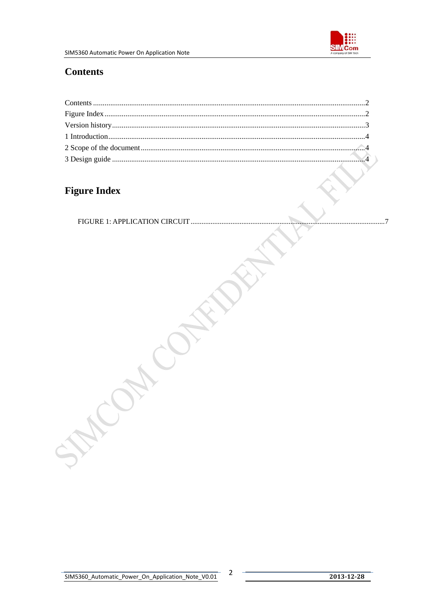

## <span id="page-2-0"></span>**Contents**

## **Figure Index**

**ONA CONTAINERY** 

 $\overline{2}$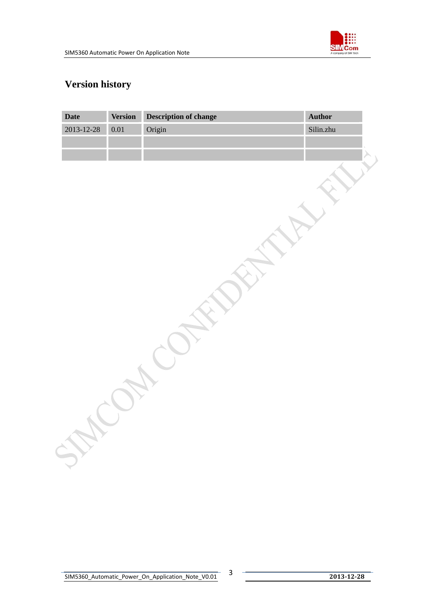

## <span id="page-3-0"></span>**Version history**

| Date       | <b>Version</b> | <b>Description of change</b> | Author    |
|------------|----------------|------------------------------|-----------|
| 2013-12-28 | 0.01           | Origin                       | Silin.zhu |
|            |                |                              |           |
|            |                |                              |           |
|            |                |                              |           |
|            |                |                              |           |
|            |                |                              |           |
|            |                |                              |           |
|            |                |                              |           |
|            |                |                              |           |
|            |                |                              |           |
|            |                |                              |           |
|            |                |                              |           |
|            |                |                              |           |
|            |                |                              |           |
|            |                |                              |           |
|            |                |                              |           |
|            |                |                              |           |
|            |                |                              |           |
|            |                |                              |           |
|            |                |                              |           |
|            |                |                              |           |
|            |                |                              |           |
|            |                |                              |           |
|            |                |                              |           |
|            |                |                              |           |
|            |                |                              |           |
|            |                |                              |           |
|            |                |                              |           |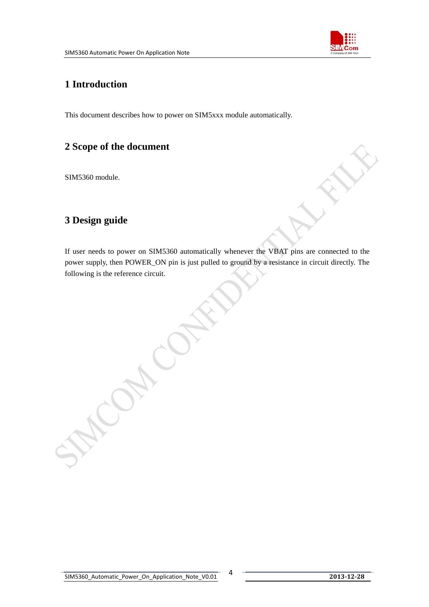

## <span id="page-4-0"></span>**1 Introduction**

This document describes how to power on SIM5xxx module automatically.

## **2 Scope of the document**

SIM5360 module.

## **3 Design guide**

If user needs to power on SIM5360 automatically whenever the VBAT pins are connected to the power supply, then POWER\_ON pin is just pulled to ground by a resistance in circuit directly. The following is the reference circuit.

Cap.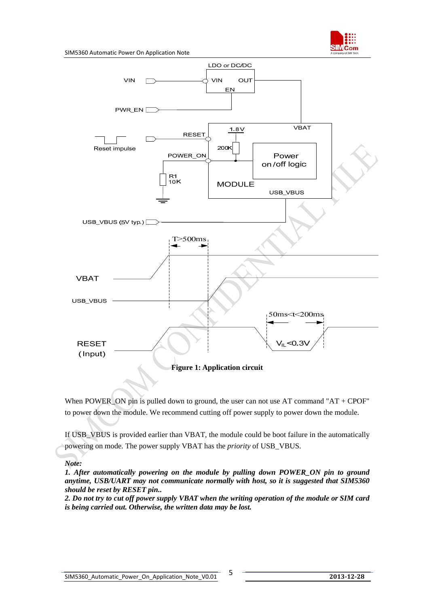



When POWER\_ON pin is pulled down to ground, the user can not use  $AT$  command " $AT + CPOF$ " to power down the module. We recommend cutting off power supply to power down the module.

If USB\_VBUS is provided earlier than VBAT, the module could be boot failure in the automatically powering on mode. The power supply VBAT has the *priority* of USB\_VBUS.

#### *Note:*

*1. After automatically powering on the module by pulling down POWER\_ON pin to ground anytime, USB/UART may not communicate normally with host, so it is suggested that SIM5360 should be reset by RESET pin..* 

*2. Do not try to cut off power supply VBAT when the writing operation of the module or SIM card is being carried out. Otherwise, the written data may be lost.*